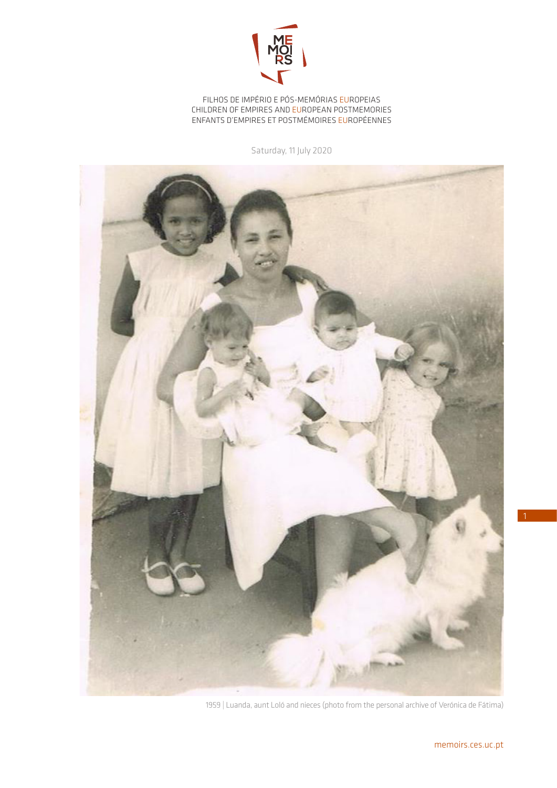

FILHOS DE IMPÉRIO E PÓS-MEMÓRIAS EUROPEIAS CHILDREN OF EMPIRES AND EUROPEAN POSTMEMORIES ENFANTS D'EMPIRES ET POSTMÉMOIRES EUROPÉENNES

Saturday, 11 July 2020



1959 | Luanda, aunt Loló and nieces (photo from the personal archive of Verónica de Fátima)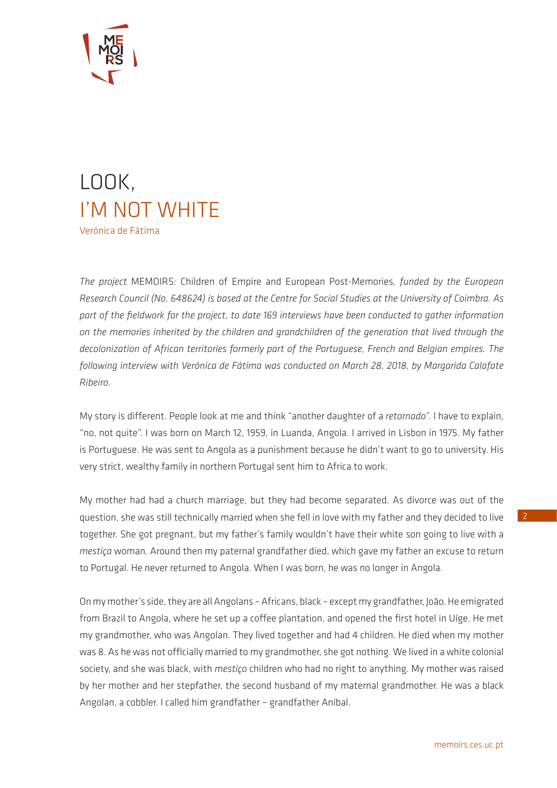

## LOOK, I'M NOT WHITE Verónica de Fátima

*The project* MEMOIRS: Children of Empire and European Post-Memories*, funded by the European Research Council (No. 648624) is based at the Centre for Social Studies at the University of Coimbra. As part of the fieldwork for the project, to date 169 interviews have been conducted to gather information on the memories inherited by the children and grandchildren of the generation that lived through the decolonization of African territories formerly part of the Portuguese, French and Belgian empires. The following interview with Verónica de Fátima was conducted on March 28, 2018, by Margarida Calafate Ribeiro.*

My story is different. People look at me and think "another daughter of a *retornado*". I have to explain, "no, not quite". I was born on March 12, 1959, in Luanda, Angola. I arrived in Lisbon in 1975. My father is Portuguese. He was sent to Angola as a punishment because he didn't want to go to university. His very strict, wealthy family in northern Portugal sent him to Africa to work.

My mother had had a church marriage, but they had become separated. As divorce was out of the question, she was still technically married when she fell in love with my father and they decided to live together. She got pregnant, but my father's family wouldn't have their white son going to live with a *mestiça* woman. Around then my paternal grandfather died, which gave my father an excuse to return to Portugal. He never returned to Angola. When I was born, he was no longer in Angola.

On my mother's side, they are all Angolans – Africans, black – except my grandfather, João. He emigrated from Brazil to Angola, where he set up a coffee plantation, and opened the first hotel in Uíge. He met my grandmother, who was Angolan. They lived together and had 4 children. He died when my mother was 8. As he was not officially married to my grandmother, she got nothing. We lived in a white colonial society, and she was black, with *mestiço* children who had no right to anything. My mother was raised by her mother and her stepfather, the second husband of my maternal grandmother. He was a black Angolan, a cobbler. I called him grandfather – grandfather Aníbal.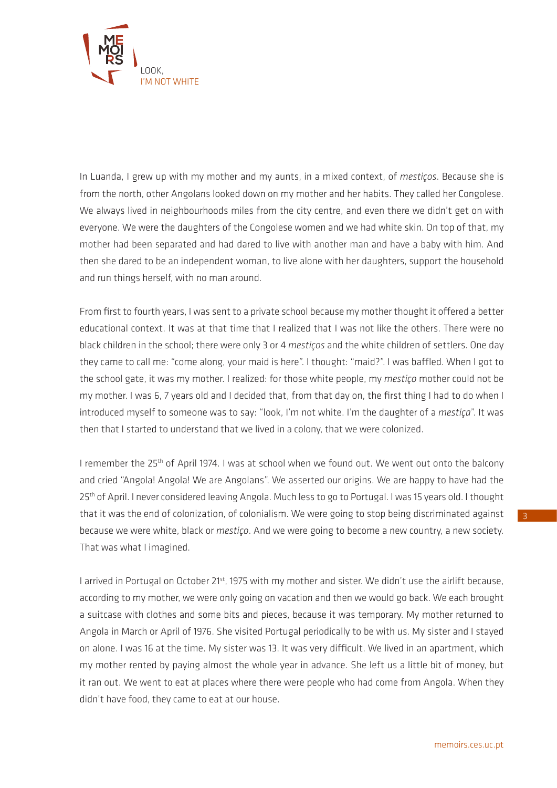

In Luanda, I grew up with my mother and my aunts, in a mixed context, of *mestiços*. Because she is from the north, other Angolans looked down on my mother and her habits. They called her Congolese. We always lived in neighbourhoods miles from the city centre, and even there we didn't get on with everyone. We were the daughters of the Congolese women and we had white skin. On top of that, my mother had been separated and had dared to live with another man and have a baby with him. And then she dared to be an independent woman, to live alone with her daughters, support the household and run things herself, with no man around.

From first to fourth years, I was sent to a private school because my mother thought it offered a better educational context. It was at that time that I realized that I was not like the others. There were no black children in the school; there were only 3 or 4 *mestiços* and the white children of settlers. One day they came to call me: "come along, your maid is here". I thought: "maid?". I was baffled. When I got to the school gate, it was my mother. I realized: for those white people, my *mestiço* mother could not be my mother. I was 6, 7 years old and I decided that, from that day on, the first thing I had to do when I introduced myself to someone was to say: "look, I'm not white. I'm the daughter of a *mestiça*". It was then that I started to understand that we lived in a colony, that we were colonized.

I remember the 25<sup>th</sup> of April 1974. I was at school when we found out. We went out onto the balcony and cried "Angola! Angola! We are Angolans". We asserted our origins. We are happy to have had the 25<sup>th</sup> of April. I never considered leaving Angola. Much less to go to Portugal. I was 15 years old. I thought that it was the end of colonization, of colonialism. We were going to stop being discriminated against because we were white, black or *mestiço*. And we were going to become a new country, a new society. That was what I imagined.

I arrived in Portugal on October 21<sup>st</sup>, 1975 with my mother and sister. We didn't use the airlift because, according to my mother, we were only going on vacation and then we would go back. We each brought a suitcase with clothes and some bits and pieces, because it was temporary. My mother returned to Angola in March or April of 1976. She visited Portugal periodically to be with us. My sister and I stayed on alone. I was 16 at the time. My sister was 13. It was very difficult. We lived in an apartment, which my mother rented by paying almost the whole year in advance. She left us a little bit of money, but it ran out. We went to eat at places where there were people who had come from Angola. When they didn't have food, they came to eat at our house.